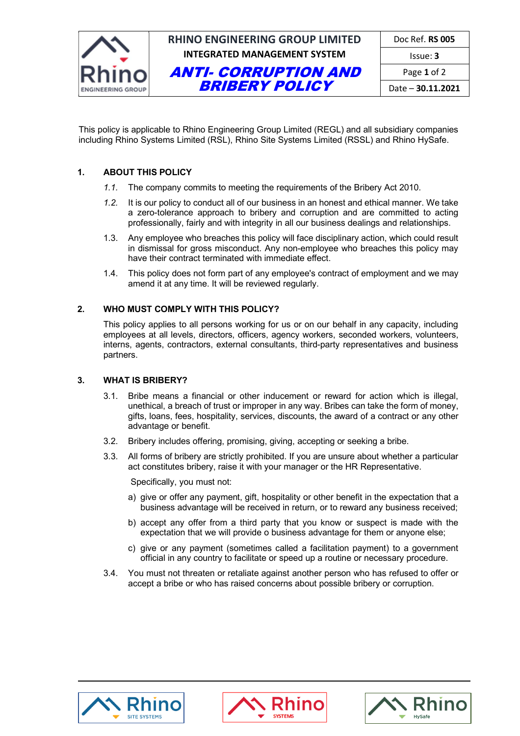

This policy is applicable to Rhino Engineering Group Limited (REGL) and all subsidiary companies including Rhino Systems Limited (RSL), Rhino Site Systems Limited (RSSL) and Rhino HySafe.

### **1. ABOUT THIS POLICY**

- *1.1.* The company commits to meeting the requirements of the Bribery Act 2010.
- *1.2.* It is our policy to conduct all of our business in an honest and ethical manner. We take a zero-tolerance approach to bribery and corruption and are committed to acting professionally, fairly and with integrity in all our business dealings and relationships.
- 1.3. Any employee who breaches this policy will face disciplinary action, which could result in dismissal for gross misconduct. Any non-employee who breaches this policy may have their contract terminated with immediate effect.
- 1.4. This policy does not form part of any employee's contract of employment and we may amend it at any time. It will be reviewed regularly.

### **2. WHO MUST COMPLY WITH THIS POLICY?**

This policy applies to all persons working for us or on our behalf in any capacity, including employees at all levels, directors, officers, agency workers, seconded workers, volunteers, interns, agents, contractors, external consultants, third-party representatives and business partners.

### **3. WHAT IS BRIBERY?**

- 3.1. Bribe means a financial or other inducement or reward for action which is illegal, unethical, a breach of trust or improper in any way. Bribes can take the form of money, gifts, loans, fees, hospitality, services, discounts, the award of a contract or any other advantage or benefit.
- 3.2. Bribery includes offering, promising, giving, accepting or seeking a bribe.
- 3.3. All forms of bribery are strictly prohibited. If you are unsure about whether a particular act constitutes bribery, raise it with your manager or the HR Representative.

Specifically, you must not:

- a) give or offer any payment, gift, hospitality or other benefit in the expectation that a business advantage will be received in return, or to reward any business received;
- b) accept any offer from a third party that you know or suspect is made with the expectation that we will provide o business advantage for them or anyone else;
- c) give or any payment (sometimes called a facilitation payment) to a government official in any country to facilitate or speed up a routine or necessary procedure.
- 3.4. You must not threaten or retaliate against another person who has refused to offer or accept a bribe or who has raised concerns about possible bribery or corruption.